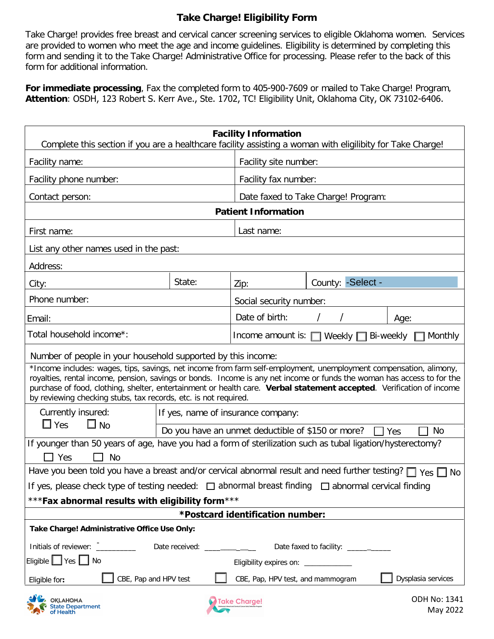## **Take Charge! Eligibility Form**

Take Charge! provides free breast and cervical cancer screening services to eligible Oklahoma women. Services are provided to women who meet the age and income guidelines. Eligibility is determined by completing this form and sending it to the Take Charge! Administrative Office for processing. Please refer to the back of this form for additional information.

**For immediate processing**, Fax the completed form to 405-900-7609 or mailed to Take Charge! Program, **Attention**: OSDH, 123 Robert S. Kerr Ave., Ste. 1702, TC! Eligibility Unit, Oklahoma City, OK 73102-6406.

| <b>Facility Information</b><br>Complete this section if you are a healthcare facility assisting a woman with eligilibity for Take Charge!                                                                                                                                                                                                                                                                                              |                                                                |                                                                |                   |                          |  |
|----------------------------------------------------------------------------------------------------------------------------------------------------------------------------------------------------------------------------------------------------------------------------------------------------------------------------------------------------------------------------------------------------------------------------------------|----------------------------------------------------------------|----------------------------------------------------------------|-------------------|--------------------------|--|
| Facility name:                                                                                                                                                                                                                                                                                                                                                                                                                         |                                                                | Facility site number:                                          |                   |                          |  |
| Facility phone number:                                                                                                                                                                                                                                                                                                                                                                                                                 |                                                                | Facility fax number:                                           |                   |                          |  |
| Contact person:                                                                                                                                                                                                                                                                                                                                                                                                                        |                                                                | Date faxed to Take Charge! Program:                            |                   |                          |  |
| <b>Patient Information</b>                                                                                                                                                                                                                                                                                                                                                                                                             |                                                                |                                                                |                   |                          |  |
| First name:                                                                                                                                                                                                                                                                                                                                                                                                                            |                                                                | Last name:                                                     |                   |                          |  |
| List any other names used in the past:                                                                                                                                                                                                                                                                                                                                                                                                 |                                                                |                                                                |                   |                          |  |
| Address:                                                                                                                                                                                                                                                                                                                                                                                                                               |                                                                |                                                                |                   |                          |  |
| City:                                                                                                                                                                                                                                                                                                                                                                                                                                  | State:                                                         | Zip:                                                           | County: -Select - |                          |  |
| Phone number:                                                                                                                                                                                                                                                                                                                                                                                                                          |                                                                | Social security number:                                        |                   |                          |  |
| Email:                                                                                                                                                                                                                                                                                                                                                                                                                                 |                                                                | Date of birth:                                                 |                   | Age:                     |  |
| Total household income*:                                                                                                                                                                                                                                                                                                                                                                                                               |                                                                | Income amount is: $\Box$ Weekly $\Box$<br>Bi-weekly<br>Monthly |                   |                          |  |
| Number of people in your household supported by this income:                                                                                                                                                                                                                                                                                                                                                                           |                                                                |                                                                |                   |                          |  |
| *Income includes: wages, tips, savings, net income from farm self-employment, unemployment compensation, alimony,<br>royalties, rental income, pension, savings or bonds. Income is any net income or funds the woman has access to for the<br>purchase of food, clothing, shelter, entertainment or health care. Verbal statement accepted. Verification of income<br>by reviewing checking stubs, tax records, etc. is not required. |                                                                |                                                                |                   |                          |  |
| Currently insured:<br>$\Box$ Yes<br>$\square$ No                                                                                                                                                                                                                                                                                                                                                                                       | If yes, name of insurance company:                             |                                                                |                   |                          |  |
|                                                                                                                                                                                                                                                                                                                                                                                                                                        | Do you have an unmet deductible of \$150 or more?<br>No<br>Yes |                                                                |                   |                          |  |
| If younger than 50 years of age, have you had a form of sterilization such as tubal ligation/hysterectomy?<br>$\Box$ Yes<br><b>No</b>                                                                                                                                                                                                                                                                                                  |                                                                |                                                                |                   |                          |  |
| Have you been told you have a breast and/or cervical abnormal result and need further testing? $\Box$ Yes $\Box$ No                                                                                                                                                                                                                                                                                                                    |                                                                |                                                                |                   |                          |  |
| If yes, please check type of testing needed: $\Box$ abnormal breast finding $\Box$ abnormal cervical finding                                                                                                                                                                                                                                                                                                                           |                                                                |                                                                |                   |                          |  |
| ***Fax abnormal results with eligibility form***                                                                                                                                                                                                                                                                                                                                                                                       |                                                                |                                                                |                   |                          |  |
| *Postcard identification number:<br>Take Charge! Administrative Office Use Only:                                                                                                                                                                                                                                                                                                                                                       |                                                                |                                                                |                   |                          |  |
|                                                                                                                                                                                                                                                                                                                                                                                                                                        |                                                                |                                                                |                   |                          |  |
| Initials of reviewer: __________<br>Eligible   Yes   No                                                                                                                                                                                                                                                                                                                                                                                | Date received: ____________                                    |                                                                |                   |                          |  |
| Eligibility expires on: _____________<br>CBE, Pap and HPV test<br>Dysplasia services<br>CBE, Pap, HPV test, and mammogram                                                                                                                                                                                                                                                                                                              |                                                                |                                                                |                   |                          |  |
| Eligible for:                                                                                                                                                                                                                                                                                                                                                                                                                          |                                                                |                                                                |                   |                          |  |
| <b>OKLAHOMA</b><br>State Department<br>of Health                                                                                                                                                                                                                                                                                                                                                                                       |                                                                | <b>Take Charge!</b>                                            |                   | ODH No: 1341<br>May 2022 |  |